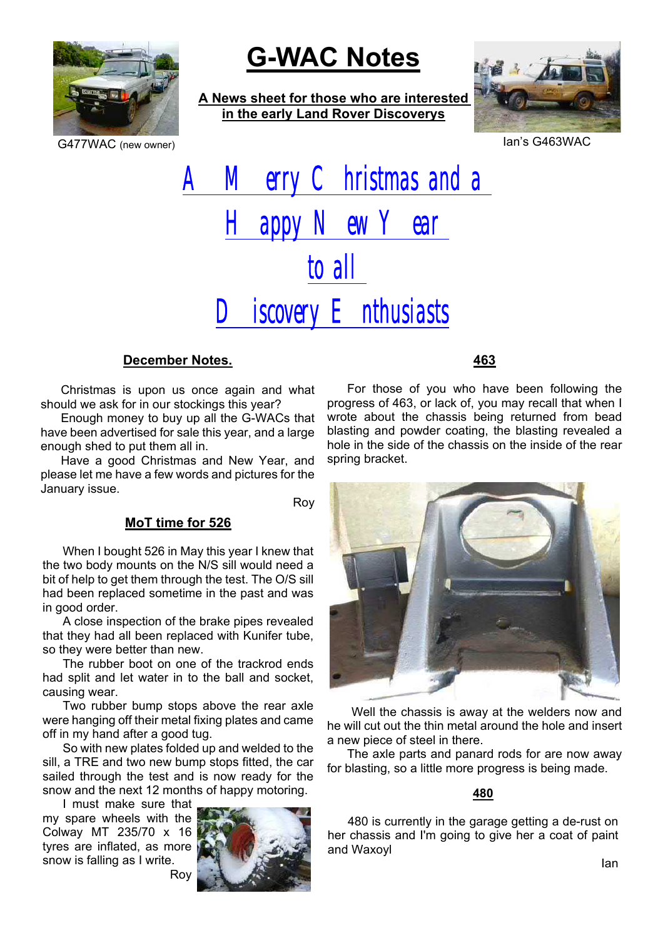

# **G-WAC Notes**

**A News sheet for those who are interested in the early Land Rover Discoverys**



G477WAC (new owner) **Ian's G463WAC** 

# A Merry Christmas and a Happy New Year to all  $\mathbf D$  iscovery  $\mathbf E$  nthusiasts

### **December Notes.**

Christmas is upon us once again and what should we ask for in our stockings this year?

Enough money to buy up all the G-WACs that have been advertised for sale this year, and a large enough shed to put them all in.

Have a good Christmas and New Year, and please let me have a few words and pictures for the January issue.

Roy

# **MoT time for 526**

When I bought 526 in May this year I knew that the two body mounts on the N/S sill would need a bit of help to get them through the test. The O/S sill had been replaced sometime in the past and was in good order.

A close inspection of the brake pipes revealed that they had all been replaced with Kunifer tube, so they were better than new.

The rubber boot on one of the trackrod ends had split and let water in to the ball and socket, causing wear.

Two rubber bump stops above the rear axle were hanging off their metal fixing plates and came off in my hand after a good tug.

So with new plates folded up and welded to the sill, a TRE and two new bump stops fitted, the car sailed through the test and is now ready for the snow and the next 12 months of happy motoring.

I must make sure that my spare wheels with the Colway MT 235/70 x 16 tyres are inflated, as more snow is falling as I write. Roy



# **463**

For those of you who have been following the progress of 463, or lack of, you may recall that when I wrote about the chassis being returned from bead blasting and powder coating, the blasting revealed a hole in the side of the chassis on the inside of the rear spring bracket.



Well the chassis is away at the welders now and he will cut out the thin metal around the hole and insert a new piece of steel in there.

The axle parts and panard rods for are now away for blasting, so a little more progress is being made.

#### **480**

480 is currently in the garage getting a de-rust on her chassis and I'm going to give her a coat of paint and Waxoyl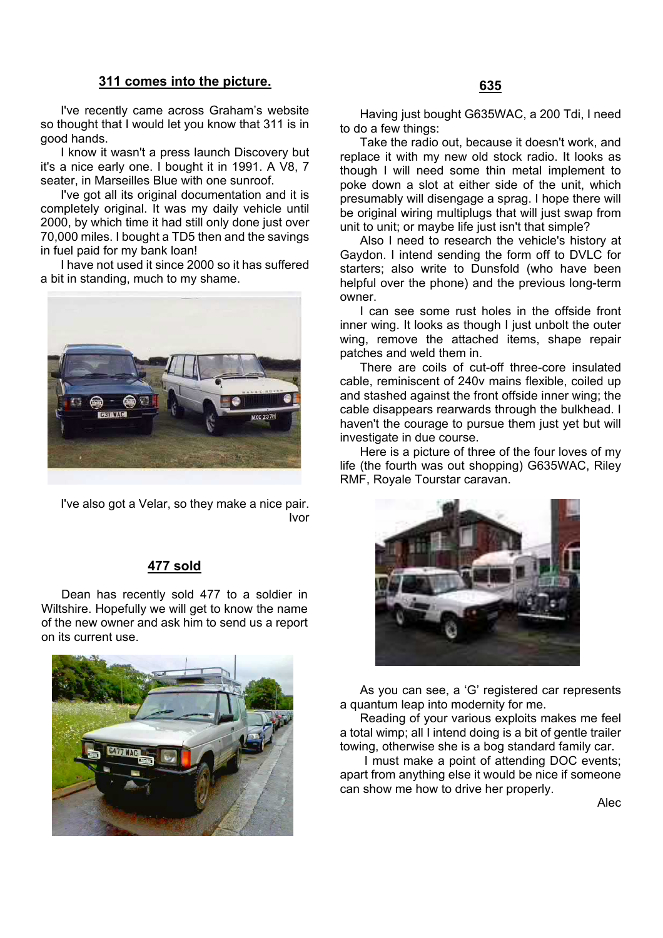#### **311 comes into the picture.**

I've recently came across Graham's website so thought that I would let you know that 311 is in good hands.

I know it wasn't a press launch Discovery but it's a nice early one. I bought it in 1991. A V8, 7 seater, in Marseilles Blue with one sunroof.

I've got all its original documentation and it is completely original. It was my daily vehicle until 2000, by which time it had still only done just over 70,000 miles. I bought a TD5 then and the savings in fuel paid for my bank loan!

I have not used it since 2000 so it has suffered a bit in standing, much to my shame.



I've also got a Velar, so they make a nice pair. Ivor

#### **477 sold**

Dean has recently sold 477 to a soldier in Wiltshire. Hopefully we will get to know the name of the new owner and ask him to send us a report on its current use.



Having just bought G635WAC, a 200 Tdi, I need to do a few things:

Take the radio out, because it doesn't work, and replace it with my new old stock radio. It looks as though I will need some thin metal implement to poke down a slot at either side of the unit, which presumably will disengage a sprag. I hope there will be original wiring multiplugs that will just swap from unit to unit; or maybe life just isn't that simple?

Also I need to research the vehicle's history at Gaydon. I intend sending the form off to DVLC for starters; also write to Dunsfold (who have been helpful over the phone) and the previous long-term owner.

I can see some rust holes in the offside front inner wing. It looks as though I just unbolt the outer wing, remove the attached items, shape repair patches and weld them in.

There are coils of cut-off three-core insulated cable, reminiscent of 240v mains flexible, coiled up and stashed against the front offside inner wing; the cable disappears rearwards through the bulkhead. I haven't the courage to pursue them just yet but will investigate in due course.

Here is a picture of three of the four loves of my life (the fourth was out shopping) G635WAC, Riley RMF, Royale Tourstar caravan.



As you can see, a 'G' registered car represents a quantum leap into modernity for me.

Reading of your various exploits makes me feel a total wimp; all I intend doing is a bit of gentle trailer towing, otherwise she is a bog standard family car.

I must make a point of attending DOC events; apart from anything else it would be nice if someone can show me how to drive her properly.

Alec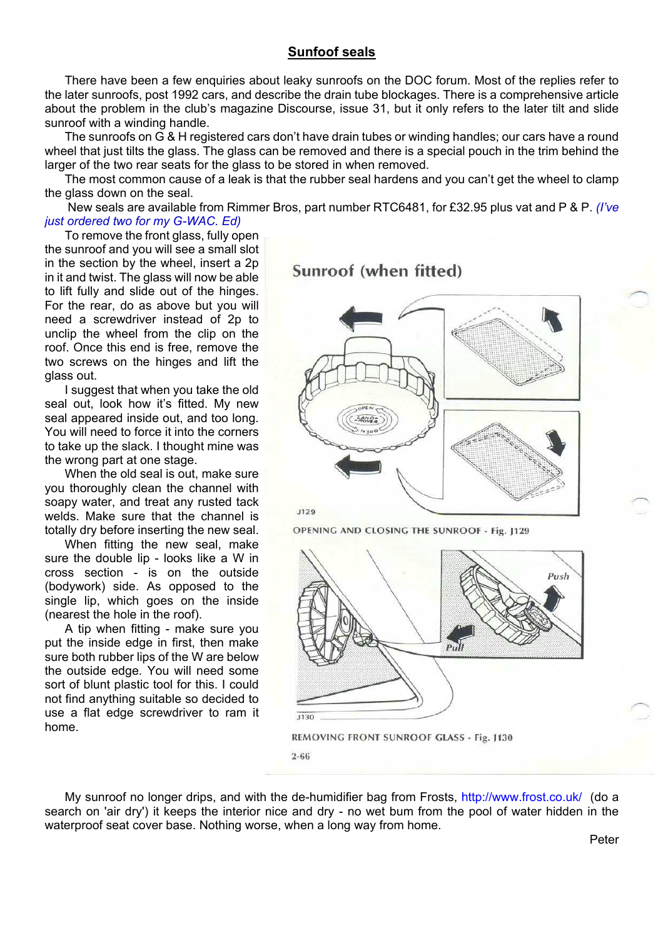#### **Sunfoof seals**

There have been a few enquiries about leaky sunroofs on the DOC forum. Most of the replies refer to the later sunroofs, post 1992 cars, and describe the drain tube blockages. There is a comprehensive article about the problem in the club's magazine Discourse, issue 31, but it only refers to the later tilt and slide sunroof with a winding handle.

The sunroofs on G & H registered cars don't have drain tubes or winding handles; our cars have a round wheel that just tilts the glass. The glass can be removed and there is a special pouch in the trim behind the larger of the two rear seats for the glass to be stored in when removed.

The most common cause of a leak is that the rubber seal hardens and you can't get the wheel to clamp the glass down on the seal.

 New seals are available from Rimmer Bros, part number RTC6481, for £32.95 plus vat and P & P. *(I've just ordered two for my G-WAC. Ed)*

To remove the front glass, fully open the sunroof and you will see a small slot in the section by the wheel, insert a 2p in it and twist. The glass will now be able to lift fully and slide out of the hinges. For the rear, do as above but you will need a screwdriver instead of 2p to unclip the wheel from the clip on the roof. Once this end is free, remove the two screws on the hinges and lift the glass out.

I suggest that when you take the old seal out, look how it's fitted. My new seal appeared inside out, and too long. You will need to force it into the corners to take up the slack. I thought mine was the wrong part at one stage.

When the old seal is out, make sure you thoroughly clean the channel with soapy water, and treat any rusted tack welds. Make sure that the channel is totally dry before inserting the new seal.

When fitting the new seal, make sure the double lip - looks like a W in cross section - is on the outside (bodywork) side. As opposed to the single lip, which goes on the inside (nearest the hole in the roof).

A tip when fitting - make sure you put the inside edge in first, then make sure both rubber lips of the W are below the outside edge. You will need some sort of blunt plastic tool for this. I could not find anything suitable so decided to use a flat edge screwdriver to ram it home.

Sunroof (when fitted)



OPENING AND CLOSING THE SUNROOF - Fig. J129



My sunroof no longer drips, and with the de-humidifier bag from Frosts, http://www.frost.co.uk/ (do a search on 'air dry') it keeps the interior nice and dry - no wet bum from the pool of water hidden in the waterproof seat cover base. Nothing worse, when a long way from home.